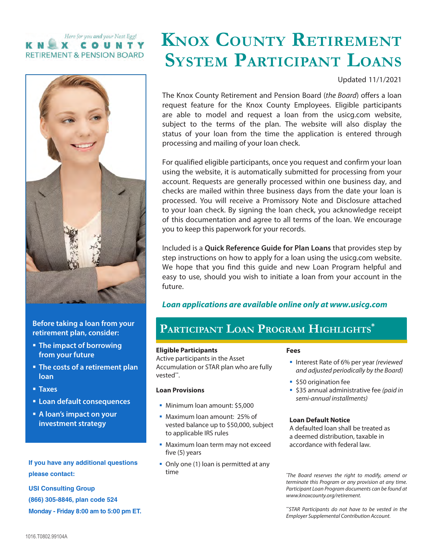#### Here for you and your Nest Egg! COUNTY x **RETIREMENT & PENSION BOARD**



**Before taking a loan from your retirement plan, consider:** 

- **The impact of borrowing from your future**
- **The costs of a retirement plan loan**
- **Taxes**
- **Loan default consequences**
- **A loan's impact on your investment strategy**

**If you have any additional questions please contact:**

**USI Consulting Group**

**(866) 305-8846, plan code 524**

**Monday - Friday 8:00 am to 5:00 pm ET.**

# **Knox county retirement system ParticiPant Loans**

Updated 11/1/2021

The Knox County Retirement and Pension Board (*the Board*) offers a loan request feature for the Knox County Employees. Eligible participants are able to model and request a loan from the usicg.com website, subject to the terms of the plan. The website will also display the status of your loan from the time the application is entered through processing and mailing of your loan check.

For qualified eligible participants, once you request and confirm your loan using the website, it is automatically submitted for processing from your account. Requests are generally processed within one business day, and checks are mailed within three business days from the date your loan is processed. You will receive a Promissory Note and Disclosure attached to your loan check. By signing the loan check, you acknowledge receipt of this documentation and agree to all terms of the loan. We encourage you to keep this paperwork for your records.

Included is a **Quick Reference Guide for Plan Loans** that provides step by step instructions on how to apply for a loan using the usicg.com website. We hope that you find this guide and new Loan Program helpful and easy to use, should you wish to initiate a loan from your account in the future.

*Loan applications are available online only* **at www.usicg.com**

### **Participant Loan Program Highlights\***

#### **Eligible Participants**

Active participants in the Asset Accumulation or STAR plan who are fully vested\*\* .

#### **Loan Provisions**

- Minimum loan amount: \$5,000
- Maximum loan amount: 25% of vested balance up to \$50,000, subject to applicable IRS rules
- **Maximum loan term may not exceed** five (5) years
- Only one (1) loan is permitted at any time

#### **Fees**

- Interest Rate of 6% per year *(reviewed and adjusted periodically by the Board)*
- **550 origination fee**
- **535 annual administrative fee (paid in** *semi-annual installments)*

#### **Loan Default Notice**

A defaulted loan shall be treated as a deemed distribution, taxable in accordance with federal law.

*\* The Board reserves the right to modify, amend or terminate this Program or any provision at any time. Participant Loan Program documents can be found at www.knoxcounty.org/retirement.*

*\*\*STAR Participants do not have to be vested in the Employer Supplemental Contribution Account.*